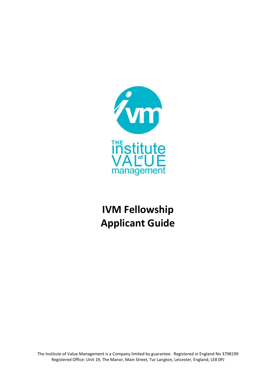

# **IVM Fellowship Applicant Guide**

The Institute of Value Management is a Company limited by guarantee. Registered in England No 3798199 Registered Office: Unit 19, The Manor, Main Street, Tur Langton, Leicester, England, LE8 0PJ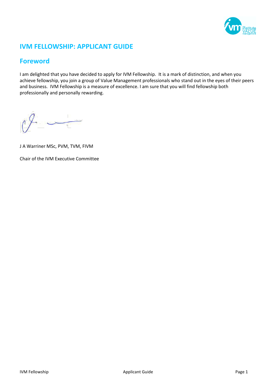

# **IVM FELLOWSHIP: APPLICANT GUIDE**

# **Foreword**

I am delighted that you have decided to apply for IVM Fellowship. It is a mark of distinction, and when you achieve fellowship, you join a group of Value Management professionals who stand out in the eyes of their peers and business. IVM Fellowship is a measure of excellence. I am sure that you will find fellowship both professionally and personally rewarding.

J A Warriner MSc, PVM, TVM, FIVM

Chair of the IVM Executive Committee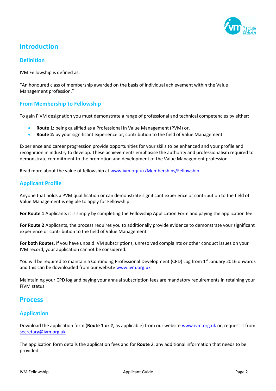

# **Introduction**

#### **Definition**

IVM Fellowship is defined as:

"An honoured class of membership awarded on the basis of individual achievement within the Value Management profession."

#### **From Membership to Fellowship**

To gain FIVM designation you must demonstrate a range of professional and technical competencies by either:

- **Route 1:** being qualified as a Professional in Value Management (PVM) or,
- **Route 2:** by your significant experience or, contribution to the field of Value Management

Experience and career progression provide opportunities for your skills to be enhanced and your profile and recognition in industry to develop. These achievements emphasise the authority and professionalism required to demonstrate commitment to the promotion and development of the Value Management profession.

Read more about the value of fellowship at www.ivm.org.uk/Memberships/Fellowship

#### **Applicant Profile**

Anyone that holds a PVM qualification or can demonstrate significant experience or contribution to the field of Value Management is eligible to apply for Fellowship.

**For Route 1** Applicants it is simply by completing the Fellowship Application Form and paying the application fee.

**For Route 2** Applicants, the process requires you to additionally provide evidence to demonstrate your significant experience or contribution to the field of Value Management.

**For both Routes**, if you have unpaid IVM subscriptions, unresolved complaints or other conduct issues on your IVM record, your application cannot be considered.

You will be required to maintain a Continuing Professional Development (CPD) Log from 1<sup>st</sup> January 2016 onwards and this can be downloaded from our websit[e www.ivm.org.uk](http://www.ivm.org.uk/)

Maintaining your CPD log and paying your annual subscription fees are mandatory requirements in retaining your FIVM status.

## **Process**

## **Application**

Download the application form (**Route 1 or 2**, as applicable) from our website [www.ivm.org.uk](http://www.ivm.org.uk/) or, request it from [secretary@ivm.org.uk](mailto:secretary@ivm.org.uk)

The application form details the application fees and for **Route** 2, any additional information that needs to be provided.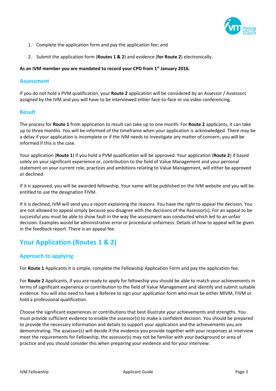

- 1. Complete the application form and pay the application fee; and
- 2. Submit the application form (**Routes 1 & 2**) and evidence (**for Route 2**) electronically.

#### **As an IVM member you are mandated to record your CPD from 1 st January 2016.**

#### **Assessment**

If you do not hold a PVM qualification, your **Route 2** application will be considered by an Assessor / Assessors assigned by the IVM and you will have to be interviewed either face-to-face or via video conferencing.

#### **Result**

The process for **Route 1** from application to result can take up to one month. For **Route 2** applicants, it can take up to three months. You will be informed of the timeframe when your application is acknowledged. There may be a delay if your application is incomplete or if the IVM needs to investigate any matter of concern; you will be informed if this is the case.

Your application (**Route 1**) if you hold a PVM qualification will be approved. Your application (**Route 2**) if based solely on your significant experience or, contribution to the field of Value Management and your personal statement on your current role, practices and ambitions relating to Value Management, will either be approved or declined.

If it is approved, you will be awarded fellowship. Your name will be published on the IVM website and you will be entitled to use the designation FIVM.

If it is declined, IVM will send you a report explaining the reasons. You have the right to appeal the decision. You are not allowed to appeal simply because you disagree with the decisions of the Assessor(s). For an appeal to be successful you must be able to show fault in the way the assessment was conducted which led to an unfair decision. Examples would be administrative error or procedural unfairness. Details of how to appeal will be given in the feedback report. There is an appeal fee.

# **Your Application (Routes 1 & 2)**

## **Approach to applying**

For **Route 1** Applicants it is simple, complete the Fellowship Application Form and pay the application fee.

For **Route 2** Applicants, if you are ready to apply for fellowship you should be able to match your achievements in terms of significant experience or contribution to the field of Value Management and identify and submit suitable evidence. You will also need to have a Referee to sign your application form who must be either MIVM, FIVM or hold a professional qualification.

Choose the significant experiences or contributions that best illustrate your achievements and strengths. You must provide sufficient evidence to enable the assessor(s) to make a confident decision. You should be prepared to provide the necessary information and details to support your application and the achievements you are demonstrating. The assessor(s) will decide if the evidence you provide together with your responses at interview meet the requirements for Fellowship, the assessor(s) may not be familiar with your background or area of practice and you should consider this when preparing your evidence and for your interview.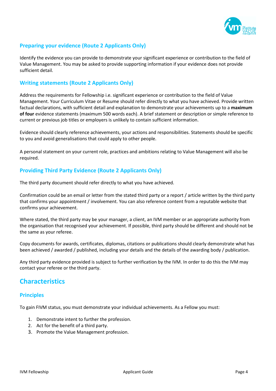

# **Preparing your evidence (Route 2 Applicants Only)**

Identify the evidence you can provide to demonstrate your significant experience or contribution to the field of Value Management. You may be asked to provide supporting information if your evidence does not provide sufficient detail.

### **Writing statements (Route 2 Applicants Only)**

Address the requirements for Fellowship i.e. significant experience or contribution to the field of Value Management. Your Curriculum Vitae or Resume should refer directly to what you have achieved. Provide written factual declarations, with sufficient detail and explanation to demonstrate your achievements up to a **maximum of four** evidence statements (maximum 500 words each). A brief statement or description or simple reference to current or previous job titles or employers is unlikely to contain sufficient information.

Evidence should clearly reference achievements, your actions and responsibilities. Statements should be specific to you and avoid generalisations that could apply to other people.

A personal statement on your current role, practices and ambitions relating to Value Management will also be required.

## **Providing Third Party Evidence (Route 2 Applicants Only)**

The third party document should refer directly to what you have achieved.

Confirmation could be an email or letter from the stated third party or a report / article written by the third party that confirms your appointment / involvement. You can also reference content from a reputable website that confirms your achievement.

Where stated, the third party may be your manager, a client, an IVM member or an appropriate authority from the organisation that recognised your achievement. If possible, third party should be different and should not be the same as your referee.

Copy documents for awards, certificates, diplomas, citations or publications should clearly demonstrate what has been achieved / awarded / published, including your details and the details of the awarding body / publication.

Any third party evidence provided is subject to further verification by the IVM. In order to do this the IVM may contact your referee or the third party.

# **Characteristics**

#### **Principles**

To gain FIVM status, you must demonstrate your individual achievements. As a Fellow you must:

- 1. Demonstrate intent to further the profession.
- 2. Act for the benefit of a third party.
- 3. Promote the Value Management profession.